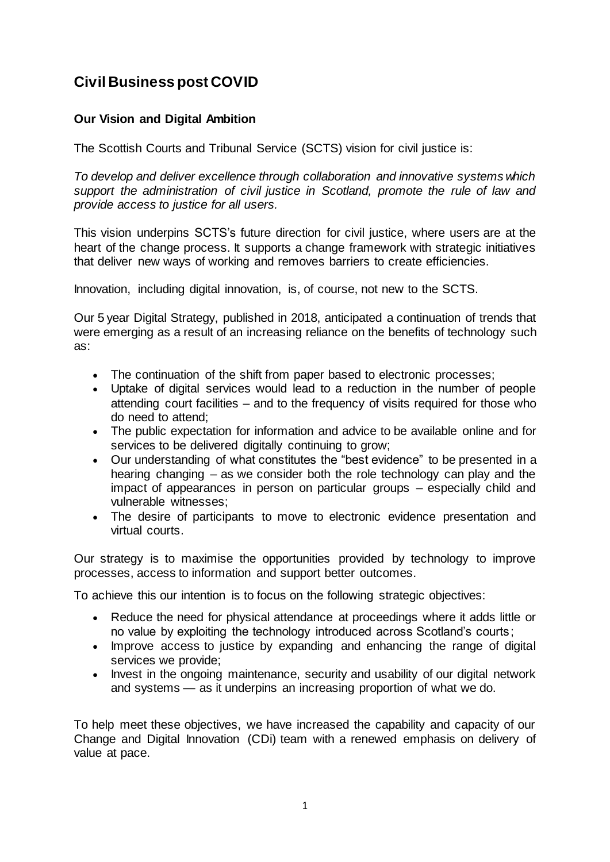# **Civil Business post COVID**

# **Our Vision and Digital Ambition**

The Scottish Courts and Tribunal Service (SCTS) vision for civil justice is:

*To develop and deliver excellence through collaboration and innovative systems which support the administration of civil justice in Scotland, promote the rule of law and provide access to justice for all users.*

This vision underpins SCTS's future direction for civil justice, where users are at the heart of the change process. It supports a change framework with strategic initiatives that deliver new ways of working and removes barriers to create efficiencies.

Innovation, including digital innovation, is, of course, not new to the SCTS.

Our 5 year Digital Strategy, published in 2018, anticipated a continuation of trends that were emerging as a result of an increasing reliance on the benefits of technology such as:

- The continuation of the shift from paper based to electronic processes;
- Uptake of digital services would lead to a reduction in the number of people attending court facilities – and to the frequency of visits required for those who do need to attend;
- The public expectation for information and advice to be available online and for services to be delivered digitally continuing to grow;
- Our understanding of what constitutes the "best evidence" to be presented in a hearing changing – as we consider both the role technology can play and the impact of appearances in person on particular groups – especially child and vulnerable witnesses;
- The desire of participants to move to electronic evidence presentation and virtual courts.

Our strategy is to maximise the opportunities provided by technology to improve processes, access to information and support better outcomes.

To achieve this our intention is to focus on the following strategic objectives:

- Reduce the need for physical attendance at proceedings where it adds little or no value by exploiting the technology introduced across Scotland's courts;
- Improve access to justice by expanding and enhancing the range of digital services we provide;
- Invest in the ongoing maintenance, security and usability of our digital network and systems — as it underpins an increasing proportion of what we do.

To help meet these objectives, we have increased the capability and capacity of our Change and Digital Innovation (CDi) team with a renewed emphasis on delivery of value at pace.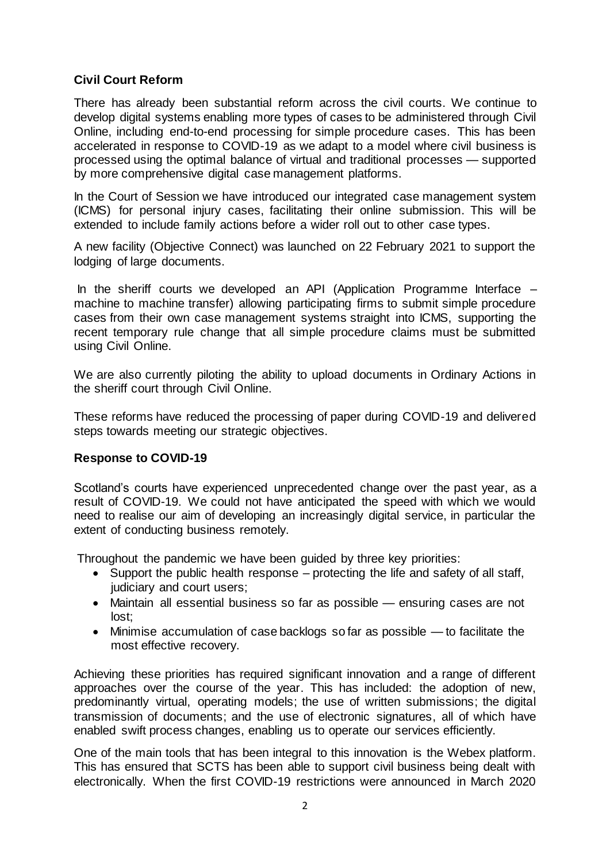# **Civil Court Reform**

There has already been substantial reform across the civil courts. We continue to develop digital systems enabling more types of cases to be administered through Civil Online, including end-to-end processing for simple procedure cases. This has been accelerated in response to COVID-19 as we adapt to a model where civil business is processed using the optimal balance of virtual and traditional processes — supported by more comprehensive digital case management platforms.

In the Court of Session we have introduced our integrated case management system (ICMS) for personal injury cases, facilitating their online submission. This will be extended to include family actions before a wider roll out to other case types.

A new facility (Objective Connect) was launched on 22 February 2021 to support the lodging of large documents.

In the sheriff courts we developed an API (Application Programme Interface – machine to machine transfer) allowing participating firms to submit simple procedure cases from their own case management systems straight into ICMS, supporting the recent temporary rule change that all simple procedure claims must be submitted using Civil Online.

We are also currently piloting the ability to upload documents in Ordinary Actions in the sheriff court through Civil Online.

These reforms have reduced the processing of paper during COVID-19 and delivered steps towards meeting our strategic objectives.

# **Response to COVID-19**

Scotland's courts have experienced unprecedented change over the past year, as a result of COVID-19. We could not have anticipated the speed with which we would need to realise our aim of developing an increasingly digital service, in particular the extent of conducting business remotely.

Throughout the pandemic we have been guided by three key priorities:

- Support the public health response protecting the life and safety of all staff, judiciary and court users;
- Maintain all essential business so far as possible ensuring cases are not lost;
- Minimise accumulation of case backlogs so far as possible to facilitate the most effective recovery.

Achieving these priorities has required significant innovation and a range of different approaches over the course of the year. This has included: the adoption of new, predominantly virtual, operating models; the use of written submissions; the digital transmission of documents; and the use of electronic signatures, all of which have enabled swift process changes, enabling us to operate our services efficiently.

One of the main tools that has been integral to this innovation is the Webex platform. This has ensured that SCTS has been able to support civil business being dealt with electronically. When the first COVID-19 restrictions were announced in March 2020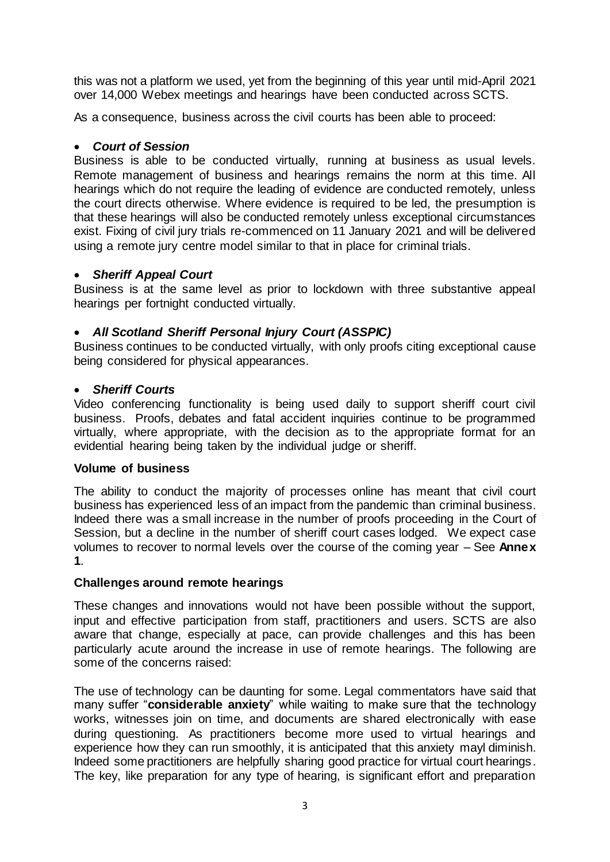this was not a platform we used, yet from the beginning of this year until mid-April 2021 over 14,000 Webex meetings and hearings have been conducted across SCTS.

As a consequence, business across the civil courts has been able to proceed:

### *Court of Session*

Business is able to be conducted virtually, running at business as usual levels. Remote management of business and hearings remains the norm at this time. All hearings which do not require the leading of evidence are conducted remotely, unless the court directs otherwise. Where evidence is required to be led, the presumption is that these hearings will also be conducted remotely unless exceptional circumstances exist. Fixing of civil jury trials re-commenced on 11 January 2021 and will be delivered using a remote jury centre model similar to that in place for criminal trials.

#### *Sheriff Appeal Court*

Business is at the same level as prior to lockdown with three substantive appeal hearings per fortnight conducted virtually.

# *All Scotland Sheriff Personal Injury Court (ASSPIC)*

Business continues to be conducted virtually, with only proofs citing exceptional cause being considered for physical appearances.

#### *Sheriff Courts*

Video conferencing functionality is being used daily to support sheriff court civil business. Proofs, debates and fatal accident inquiries continue to be programmed virtually, where appropriate, with the decision as to the appropriate format for an evidential hearing being taken by the individual judge or sheriff.

#### **Volume of business**

The ability to conduct the majority of processes online has meant that civil court business has experienced less of an impact from the pandemic than criminal business. Indeed there was a small increase in the number of proofs proceeding in the Court of Session, but a decline in the number of sheriff court cases lodged. We expect case volumes to recover to normal levels over the course of the coming year – See **Annex 1**.

# **Challenges around remote hearings**

These changes and innovations would not have been possible without the support, input and effective participation from staff, practitioners and users. SCTS are also aware that change, especially at pace, can provide challenges and this has been particularly acute around the increase in use of remote hearings. The following are some of the concerns raised:

The use of technology can be daunting for some. Legal commentators have said that many suffer "**considerable anxiety**" while waiting to make sure that the technology works, witnesses join on time, and documents are shared electronically with ease during questioning. As practitioners become more used to virtual hearings and experience how they can run smoothly, it is anticipated that this anxiety mayl diminish. Indeed some practitioners are helpfully sharing good practice for virtual court hearings. The key, like preparation for any type of hearing, is significant effort and preparation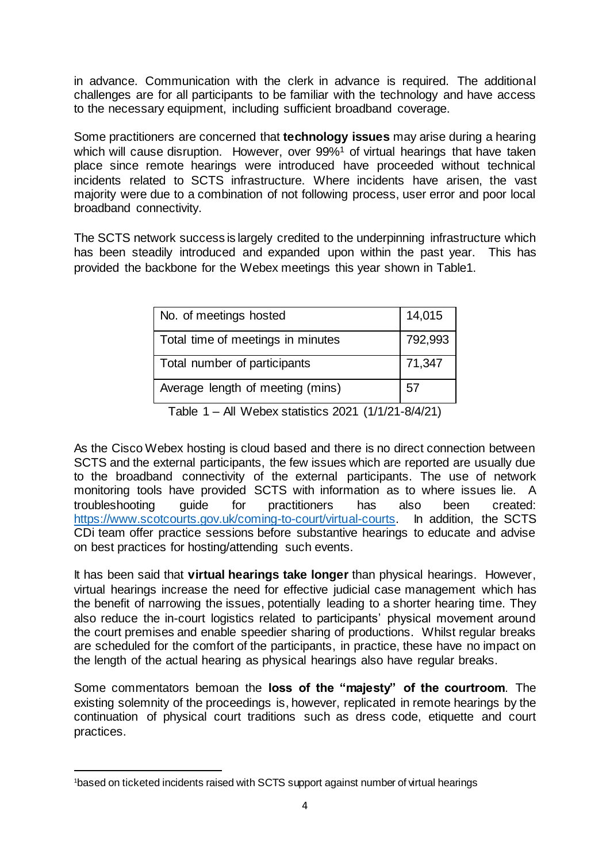in advance. Communication with the clerk in advance is required. The additional challenges are for all participants to be familiar with the technology and have access to the necessary equipment, including sufficient broadband coverage.

Some practitioners are concerned that **technology issues** may arise during a hearing which will cause disruption. However, over 99%<sup>1</sup> of virtual hearings that have taken place since remote hearings were introduced have proceeded without technical incidents related to SCTS infrastructure. Where incidents have arisen, the vast majority were due to a combination of not following process, user error and poor local broadband connectivity.

The SCTS network success is largely credited to the underpinning infrastructure which has been steadily introduced and expanded upon within the past year. This has provided the backbone for the Webex meetings this year shown in Table1.

| No. of meetings hosted                                      | 14,015  |
|-------------------------------------------------------------|---------|
| Total time of meetings in minutes                           | 792,993 |
| Total number of participants                                | 71,347  |
| Average length of meeting (mins)                            | 57      |
| $\Lambda$ ll $\Lambda$ l - Leurettette COOA (AlalOA OlalOA) |         |

Table 1 – All Webex statistics 2021 (1/1/21-8/4/21)

As the Cisco Webex hosting is cloud based and there is no direct connection between SCTS and the external participants, the few issues which are reported are usually due to the broadband connectivity of the external participants. The use of network monitoring tools have provided SCTS with information as to where issues lie. A troubleshooting guide for practitioners has also been created: [https://www.scotcourts.gov.uk/coming-to-court/virtual-courts.](https://www.scotcourts.gov.uk/coming-to-court/virtual-courts) In addition, the SCTS CDi team offer practice sessions before substantive hearings to educate and advise on best practices for hosting/attending such events.

It has been said that **virtual hearings take longer** than physical hearings. However, virtual hearings increase the need for effective judicial case management which has the benefit of narrowing the issues, potentially leading to a shorter hearing time. They also reduce the in-court logistics related to participants' physical movement around the court premises and enable speedier sharing of productions. Whilst regular breaks are scheduled for the comfort of the participants, in practice, these have no impact on the length of the actual hearing as physical hearings also have regular breaks.

Some commentators bemoan the **loss of the "majesty" of the courtroom**. The existing solemnity of the proceedings is, however, replicated in remote hearings by the continuation of physical court traditions such as dress code, etiquette and court practices.

 $\overline{a}$ <sup>1</sup>based on ticketed incidents raised with SCTS support against number of virtual hearings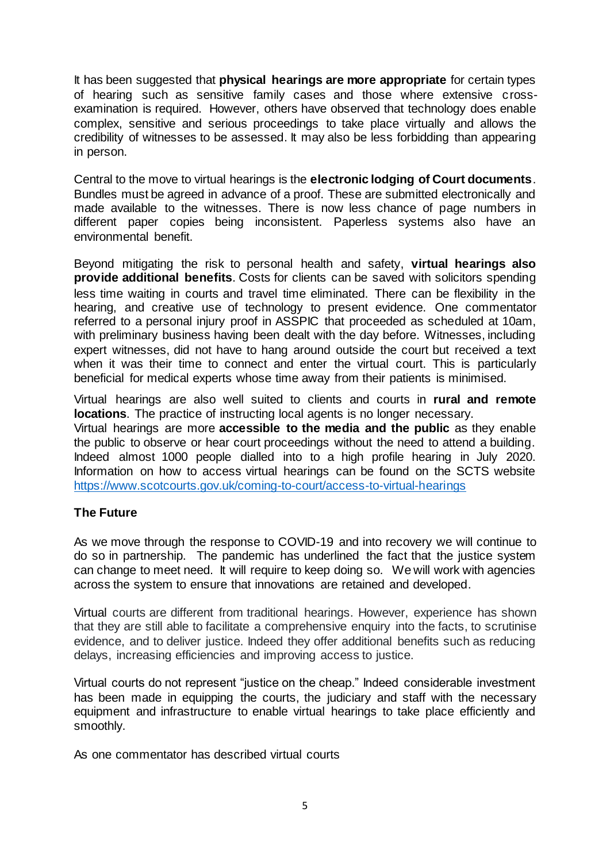It has been suggested that **physical hearings are more appropriate** for certain types of hearing such as sensitive family cases and those where extensive crossexamination is required. However, others have observed that technology does enable complex, sensitive and serious proceedings to take place virtually and allows the credibility of witnesses to be assessed. It may also be less forbidding than appearing in person.

Central to the move to virtual hearings is the **electronic lodging of Court documents**. Bundles must be agreed in advance of a proof. These are submitted electronically and made available to the witnesses. There is now less chance of page numbers in different paper copies being inconsistent. Paperless systems also have an environmental benefit.

Beyond mitigating the risk to personal health and safety, **virtual hearings also provide additional benefits**. Costs for clients can be saved with solicitors spending less time waiting in courts and travel time eliminated. There can be flexibility in the hearing, and creative use of technology to present evidence. One commentator referred to a personal injury proof in ASSPIC that proceeded as scheduled at 10am, with preliminary business having been dealt with the day before. Witnesses, including expert witnesses, did not have to hang around outside the court but received a text when it was their time to connect and enter the virtual court. This is particularly beneficial for medical experts whose time away from their patients is minimised.

Virtual hearings are also well suited to clients and courts in **rural and remote locations**. The practice of instructing local agents is no longer necessary.

Virtual hearings are more **accessible to the media and the public** as they enable the public to observe or hear court proceedings without the need to attend a building. Indeed almost 1000 people dialled into to a high profile hearing in July 2020. Information on how to access virtual hearings can be found on the SCTS website <https://www.scotcourts.gov.uk/coming-to-court/access-to-virtual-hearings>

# **The Future**

As we move through the response to COVID-19 and into recovery we will continue to do so in partnership. The pandemic has underlined the fact that the justice system can change to meet need. It will require to keep doing so. We will work with agencies across the system to ensure that innovations are retained and developed.

Virtual courts are different from traditional hearings. However, experience has shown that they are still able to facilitate a comprehensive enquiry into the facts, to scrutinise evidence, and to deliver justice. Indeed they offer additional benefits such as reducing delays, increasing efficiencies and improving access to justice.

Virtual courts do not represent "justice on the cheap." Indeed considerable investment has been made in equipping the courts, the judiciary and staff with the necessary equipment and infrastructure to enable virtual hearings to take place efficiently and smoothly.

As one commentator has described virtual courts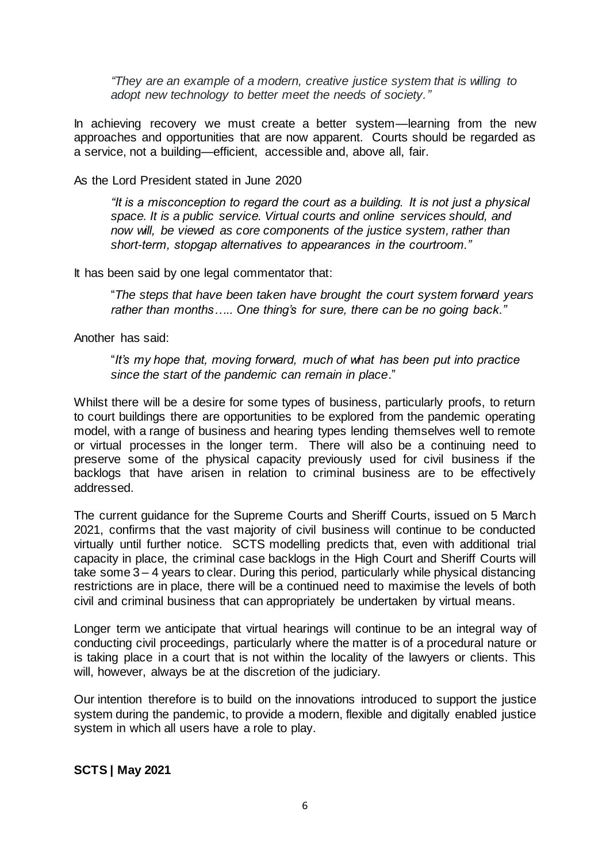*"They are an example of a modern, creative justice system that is willing to adopt new technology to better meet the needs of society."*

In achieving recovery we must create a better system—learning from the new approaches and opportunities that are now apparent. Courts should be regarded as a service, not a building—efficient, accessible and, above all, fair.

As the Lord President stated in June 2020

*"It is a misconception to regard the court as a building. It is not just a physical space. It is a public service. Virtual courts and online services should, and now will, be viewed as core components of the justice system, rather than short-term, stopgap alternatives to appearances in the courtroom."*

It has been said by one legal commentator that:

"*The steps that have been taken have brought the court system forward years rather than months….. One thing's for sure, there can be no going back."*

Another has said:

"*It's my hope that, moving forward, much of what has been put into practice since the start of the pandemic can remain in place*."

Whilst there will be a desire for some types of business, particularly proofs, to return to court buildings there are opportunities to be explored from the pandemic operating model, with a range of business and hearing types lending themselves well to remote or virtual processes in the longer term. There will also be a continuing need to preserve some of the physical capacity previously used for civil business if the backlogs that have arisen in relation to criminal business are to be effectively addressed.

The current guidance for the Supreme Courts and Sheriff Courts, issued on 5 March 2021, confirms that the vast majority of civil business will continue to be conducted virtually until further notice. SCTS modelling predicts that, even with additional trial capacity in place, the criminal case backlogs in the High Court and Sheriff Courts will take some 3 – 4 years to clear. During this period, particularly while physical distancing restrictions are in place, there will be a continued need to maximise the levels of both civil and criminal business that can appropriately be undertaken by virtual means.

Longer term we anticipate that virtual hearings will continue to be an integral way of conducting civil proceedings, particularly where the matter is of a procedural nature or is taking place in a court that is not within the locality of the lawyers or clients. This will, however, always be at the discretion of the judiciary.

Our intention therefore is to build on the innovations introduced to support the justice system during the pandemic, to provide a modern, flexible and digitally enabled justice system in which all users have a role to play.

**SCTS | May 2021**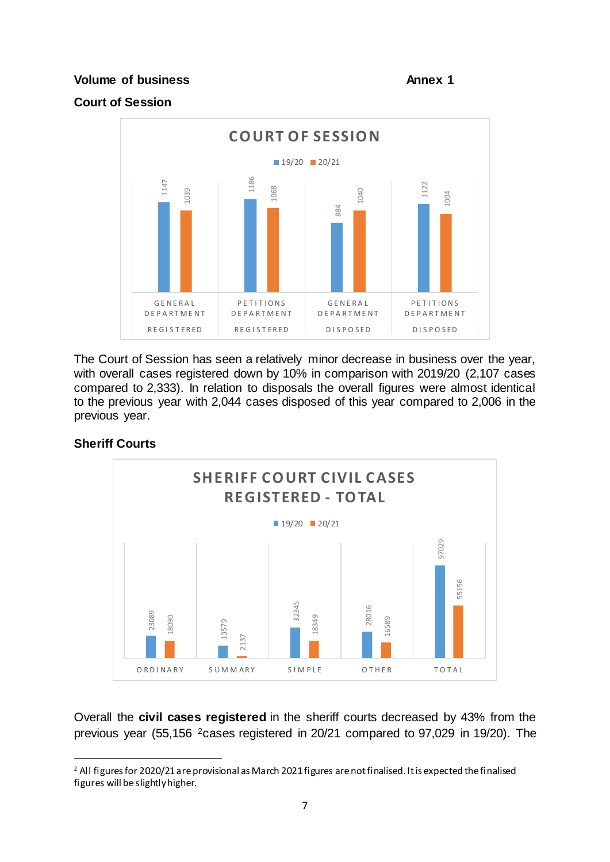# **Volume of business Annex 1**

# **Court of Session**



The Court of Session has seen a relatively minor decrease in business over the year, with overall cases registered down by 10% in comparison with 2019/20 (2,107 cases compared to 2,333). In relation to disposals the overall figures were almost identical to the previous year with 2,044 cases disposed of this year compared to 2,006 in the previous year.

# **Sheriff Courts**

 $\overline{a}$ 



Overall the **civil cases registered** in the sheriff courts decreased by 43% from the previous year (55,156 2cases registered in 20/21 compared to 97,029 in 19/20). The

<sup>&</sup>lt;sup>2</sup> All figures for 2020/21 are provisional as March 2021 figures are not finalised. It is expected the finalised figures will be slightly higher.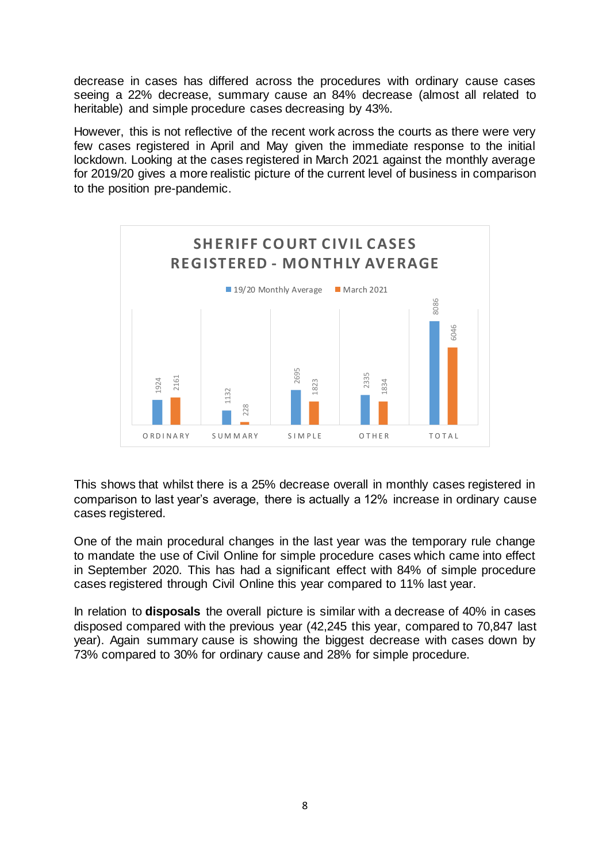decrease in cases has differed across the procedures with ordinary cause cases seeing a 22% decrease, summary cause an 84% decrease (almost all related to heritable) and simple procedure cases decreasing by 43%.

However, this is not reflective of the recent work across the courts as there were very few cases registered in April and May given the immediate response to the initial lockdown. Looking at the cases registered in March 2021 against the monthly average for 2019/20 gives a more realistic picture of the current level of business in comparison to the position pre-pandemic.



This shows that whilst there is a 25% decrease overall in monthly cases registered in comparison to last year's average, there is actually a 12% increase in ordinary cause cases registered.

One of the main procedural changes in the last year was the temporary rule change to mandate the use of Civil Online for simple procedure cases which came into effect in September 2020. This has had a significant effect with 84% of simple procedure cases registered through Civil Online this year compared to 11% last year.

In relation to **disposals** the overall picture is similar with a decrease of 40% in cases disposed compared with the previous year (42,245 this year, compared to 70,847 last year). Again summary cause is showing the biggest decrease with cases down by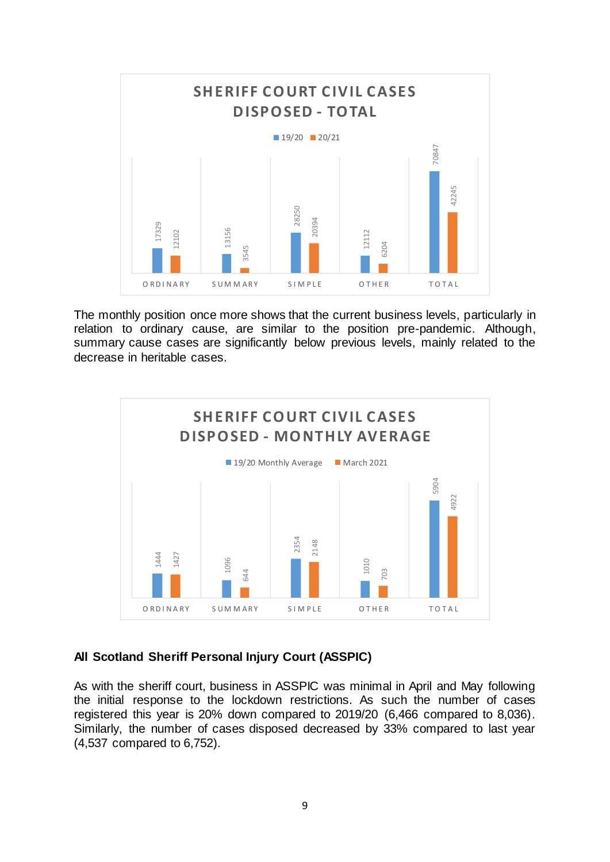

The monthly position once more shows that the current business levels, particularly in relation to ordinary cause, are similar to the position pre-pandemic. Although, summary cause cases are significantly below previous levels, mainly related to the decrease in heritable cases.



# **All Scotland Sheriff Personal Injury Court (ASSPIC)**

As with the sheriff court, business in ASSPIC was minimal in April and May following the initial response to the lockdown restrictions. As such the number of cases registered this year is 20% down compared to 2019/20 (6,466 compared to 8,036). Similarly, the number of cases disposed decreased by 33% compared to last year